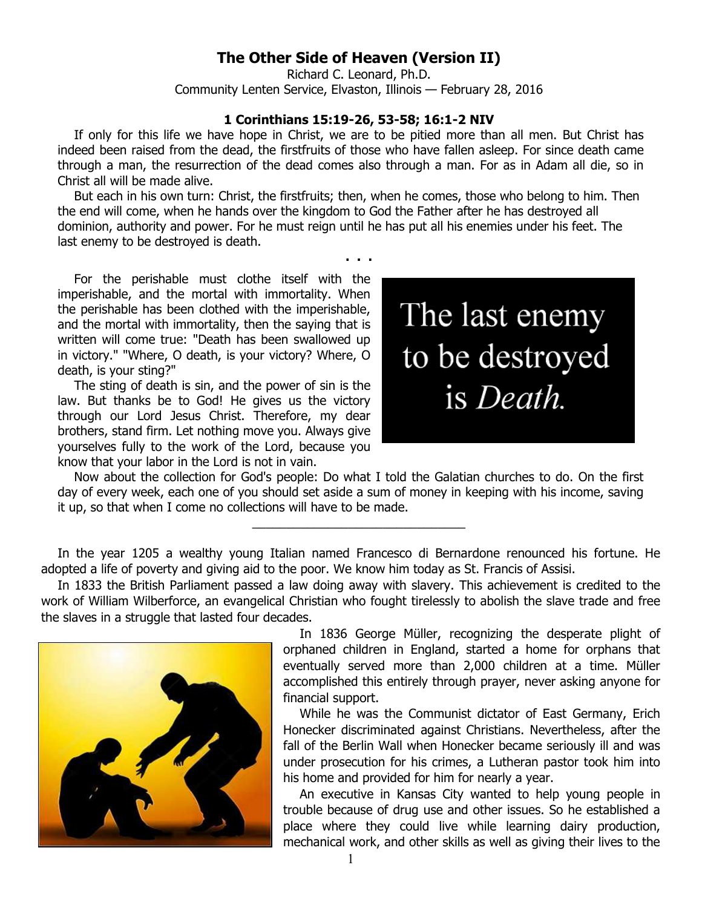## **The Other Side of Heaven (Version II)**

Richard C. Leonard, Ph.D. Community Lenten Service, Elvaston, Illinois — February 28, 2016

## **1 Corinthians 15:19-26, 53-58; 16:1-2 NIV**

If only for this life we have hope in Christ, we are to be pitied more than all men. But Christ has indeed been raised from the dead, the firstfruits of those who have fallen asleep. For since death came through a man, the resurrection of the dead comes also through a man. For as in Adam all die, so in Christ all will be made alive.

But each in his own turn: Christ, the firstfruits; then, when he comes, those who belong to him. Then the end will come, when he hands over the kingdom to God the Father after he has destroyed all dominion, authority and power. For he must reign until he has put all his enemies under his feet. The last enemy to be destroyed is death.

For the perishable must clothe itself with the imperishable, and the mortal with immortality. When the perishable has been clothed with the imperishable, and the mortal with immortality, then the saying that is written will come true: "Death has been swallowed up in victory." "Where, O death, is your victory? Where, O death, is your sting?"

The sting of death is sin, and the power of sin is the law. But thanks be to God! He gives us the victory through our Lord Jesus Christ. Therefore, my dear brothers, stand firm. Let nothing move you. Always give yourselves fully to the work of the Lord, because you know that your labor in the Lord is not in vain.



Now about the collection for God's people: Do what I told the Galatian churches to do. On the first day of every week, each one of you should set aside a sum of money in keeping with his income, saving it up, so that when I come no collections will have to be made.

\_\_\_\_\_\_\_\_\_\_\_\_\_\_\_\_\_\_\_\_\_\_\_\_\_\_\_\_\_\_\_

In the year 1205 a wealthy young Italian named Francesco di Bernardone renounced his fortune. He adopted a life of poverty and giving aid to the poor. We know him today as St. Francis of Assisi.

In 1833 the British Parliament passed a law doing away with slavery. This achievement is credited to the work of William Wilberforce, an evangelical Christian who fought tirelessly to abolish the slave trade and free the slaves in a struggle that lasted four decades.



In 1836 George Müller, recognizing the desperate plight of orphaned children in England, started a home for orphans that eventually served more than 2,000 children at a time. Müller accomplished this entirely through prayer, never asking anyone for financial support.

While he was the Communist dictator of East Germany, Erich Honecker discriminated against Christians. Nevertheless, after the fall of the Berlin Wall when Honecker became seriously ill and was under prosecution for his crimes, a Lutheran pastor took him into his home and provided for him for nearly a year.

An executive in Kansas City wanted to help young people in trouble because of drug use and other issues. So he established a place where they could live while learning dairy production, mechanical work, and other skills as well as giving their lives to the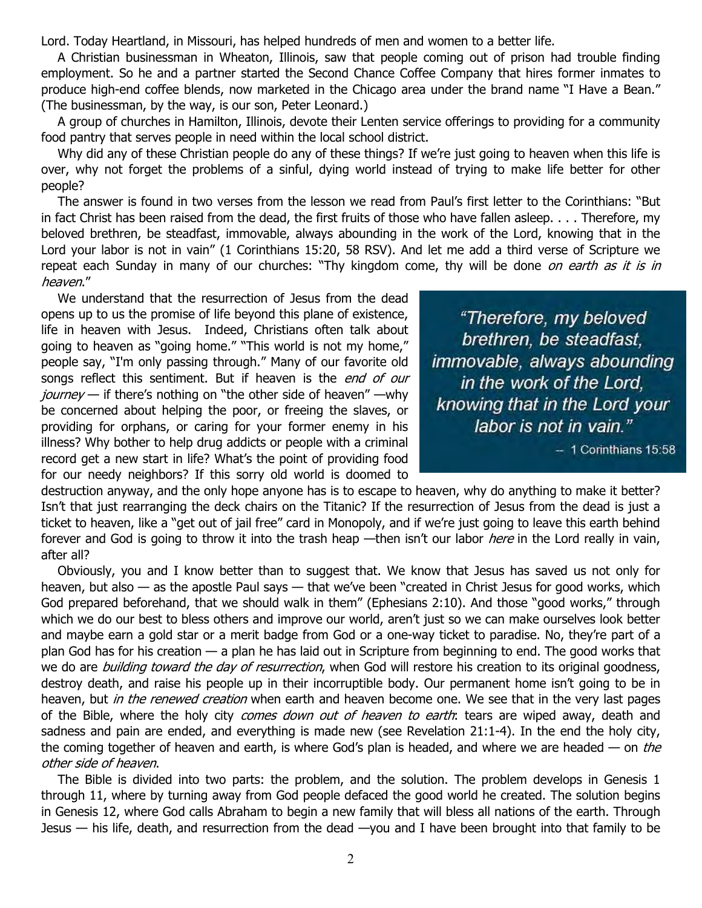Lord. Today Heartland, in Missouri, has helped hundreds of men and women to a better life.

A Christian businessman in Wheaton, Illinois, saw that people coming out of prison had trouble finding employment. So he and a partner started the Second Chance Coffee Company that hires former inmates to produce high-end coffee blends, now marketed in the Chicago area under the brand name "I Have a Bean." (The businessman, by the way, is our son, Peter Leonard.)

A group of churches in Hamilton, Illinois, devote their Lenten service offerings to providing for a community food pantry that serves people in need within the local school district.

Why did any of these Christian people do any of these things? If we're just going to heaven when this life is over, why not forget the problems of a sinful, dying world instead of trying to make life better for other people?

The answer is found in two verses from the lesson we read from Paul's first letter to the Corinthians: "But in fact Christ has been raised from the dead, the first fruits of those who have fallen asleep. . . . Therefore, my beloved brethren, be steadfast, immovable, always abounding in the work of the Lord, knowing that in the Lord your labor is not in vain" (1 Corinthians 15:20, 58 RSV). And let me add a third verse of Scripture we repeat each Sunday in many of our churches: "Thy kingdom come, thy will be done on earth as it is in heaven."

We understand that the resurrection of Jesus from the dead opens up to us the promise of life beyond this plane of existence, life in heaven with Jesus. Indeed, Christians often talk about going to heaven as "going home." "This world is not my home," people say, "I'm only passing through." Many of our favorite old songs reflect this sentiment. But if heaven is the end of our journey — if there's nothing on "the other side of heaven" —why be concerned about helping the poor, or freeing the slaves, or providing for orphans, or caring for your former enemy in his illness? Why bother to help drug addicts or people with a criminal record get a new start in life? What's the point of providing food for our needy neighbors? If this sorry old world is doomed to

"Therefore, my beloved brethren, be steadfast, immovable, always abounding in the work of the Lord, knowing that in the Lord your labor is not in vain."

-- 1 Corinthians 15:58

destruction anyway, and the only hope anyone has is to escape to heaven, why do anything to make it better? Isn't that just rearranging the deck chairs on the Titanic? If the resurrection of Jesus from the dead is just a ticket to heaven, like a "get out of jail free" card in Monopoly, and if we're just going to leave this earth behind forever and God is going to throw it into the trash heap —then isn't our labor *here* in the Lord really in vain, after all?

Obviously, you and I know better than to suggest that. We know that Jesus has saved us not only for heaven, but also — as the apostle Paul says — that we've been "created in Christ Jesus for good works, which God prepared beforehand, that we should walk in them" (Ephesians 2:10). And those "good works," through which we do our best to bless others and improve our world, aren't just so we can make ourselves look better and maybe earn a gold star or a merit badge from God or a one-way ticket to paradise. No, they're part of a plan God has for his creation — a plan he has laid out in Scripture from beginning to end. The good works that we do are *building toward the day of resurrection*, when God will restore his creation to its original goodness, destroy death, and raise his people up in their incorruptible body. Our permanent home isn't going to be in heaven, but *in the renewed creation* when earth and heaven become one. We see that in the very last pages of the Bible, where the holy city comes down out of heaven to earth: tears are wiped away, death and sadness and pain are ended, and everything is made new (see Revelation 21:1-4). In the end the holy city, the coming together of heaven and earth, is where God's plan is headed, and where we are headed  $-$  on *the* other side of heaven.

The Bible is divided into two parts: the problem, and the solution. The problem develops in Genesis 1 through 11, where by turning away from God people defaced the good world he created. The solution begins in Genesis 12, where God calls Abraham to begin a new family that will bless all nations of the earth. Through Jesus — his life, death, and resurrection from the dead —you and I have been brought into that family to be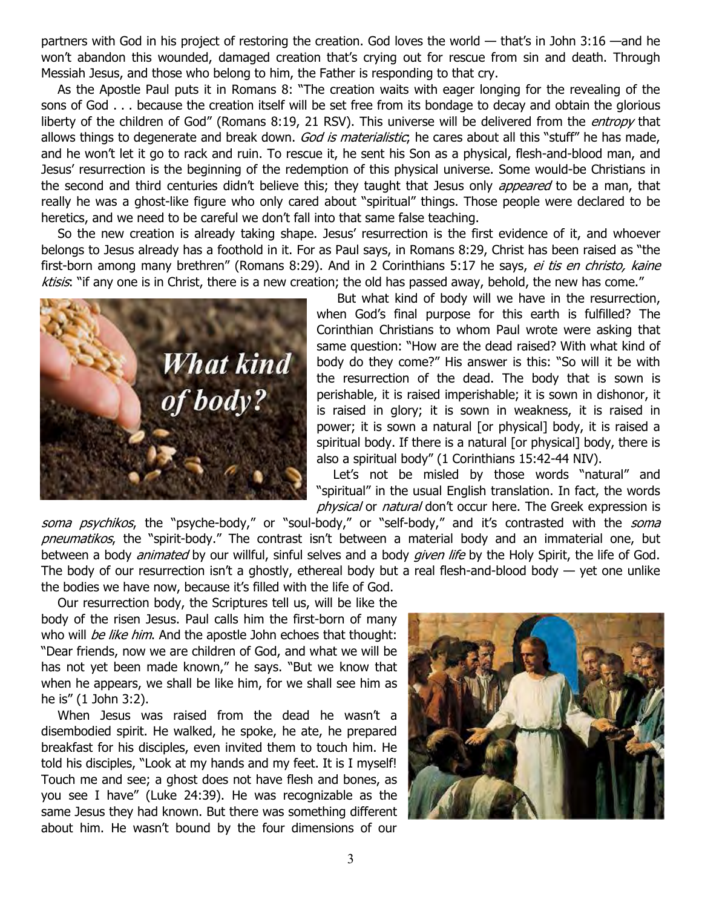partners with God in his project of restoring the creation. God loves the world — that's in John 3:16 —and he won't abandon this wounded, damaged creation that's crying out for rescue from sin and death. Through Messiah Jesus, and those who belong to him, the Father is responding to that cry.

As the Apostle Paul puts it in Romans 8: "The creation waits with eager longing for the revealing of the sons of God . . . because the creation itself will be set free from its bondage to decay and obtain the glorious liberty of the children of God" (Romans 8:19, 21 RSV). This universe will be delivered from the *entropy* that allows things to degenerate and break down. God is materialistic, he cares about all this "stuff" he has made, and he won't let it go to rack and ruin. To rescue it, he sent his Son as a physical, flesh-and-blood man, and Jesus' resurrection is the beginning of the redemption of this physical universe. Some would-be Christians in the second and third centuries didn't believe this; they taught that Jesus only *appeared* to be a man, that really he was a ghost-like figure who only cared about "spiritual" things. Those people were declared to be heretics, and we need to be careful we don't fall into that same false teaching.

So the new creation is already taking shape. Jesus' resurrection is the first evidence of it, and whoever belongs to Jesus already has a foothold in it. For as Paul says, in Romans 8:29, Christ has been raised as "the first-born among many brethren" (Romans 8:29). And in 2 Corinthians 5:17 he says, ei tis en christo, kaine ktisis: "if any one is in Christ, there is a new creation; the old has passed away, behold, the new has come."



 But what kind of body will we have in the resurrection, when God's final purpose for this earth is fulfilled? The Corinthian Christians to whom Paul wrote were asking that same question: "How are the dead raised? With what kind of body do they come?" His answer is this: "So will it be with the resurrection of the dead. The body that is sown is perishable, it is raised imperishable; it is sown in dishonor, it is raised in glory; it is sown in weakness, it is raised in power; it is sown a natural [or physical] body, it is raised a spiritual body. If there is a natural [or physical] body, there is also a spiritual body" (1 Corinthians 15:42-44 NIV).

Let's not be misled by those words "natural" and "spiritual" in the usual English translation. In fact, the words physical or natural don't occur here. The Greek expression is

soma psychikos, the "psyche-body," or "soul-body," or "self-body," and it's contrasted with the soma pneumatikos, the "spirit-body." The contrast isn't between a material body and an immaterial one, but between a body *animated* by our willful, sinful selves and a body *given life* by the Holy Spirit, the life of God. The body of our resurrection isn't a ghostly, ethereal body but a real flesh-and-blood body — yet one unlike the bodies we have now, because it's filled with the life of God.

Our resurrection body, the Scriptures tell us, will be like the body of the risen Jesus. Paul calls him the first-born of many who will *be like him*. And the apostle John echoes that thought: "Dear friends, now we are children of God, and what we will be has not yet been made known," he says. "But we know that when he appears, we shall be like him, for we shall see him as he is" (1 John 3:2).

When Jesus was raised from the dead he wasn't a disembodied spirit. He walked, he spoke, he ate, he prepared breakfast for his disciples, even invited them to touch him. He told his disciples, "Look at my hands and my feet. It is I myself! Touch me and see; a ghost does not have flesh and bones, as you see I have" (Luke 24:39). He was recognizable as the same Jesus they had known. But there was something different about him. He wasn't bound by the four dimensions of our

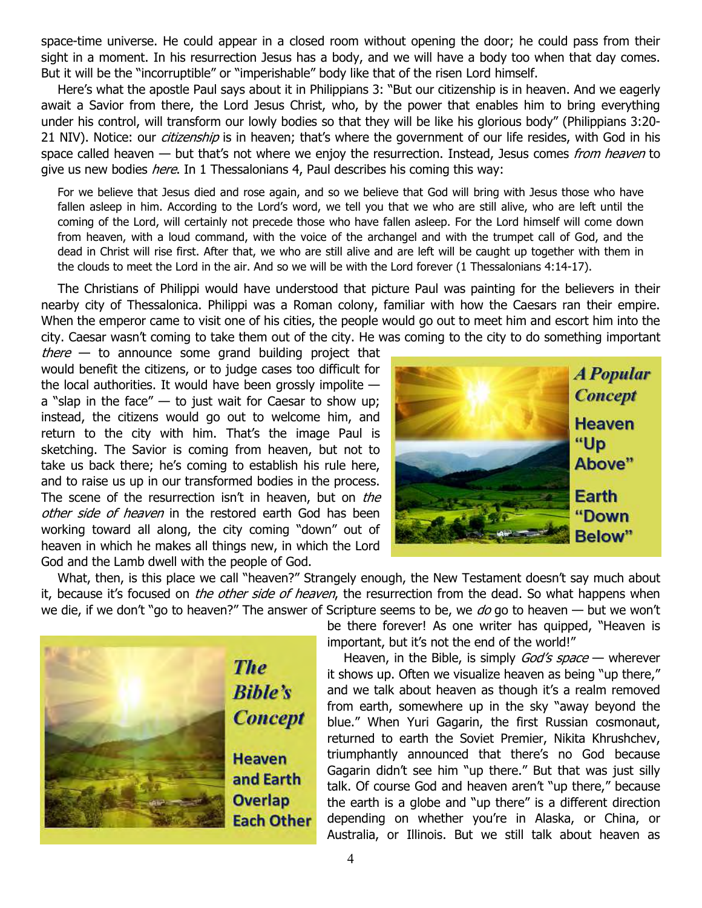space-time universe. He could appear in a closed room without opening the door; he could pass from their sight in a moment. In his resurrection Jesus has a body, and we will have a body too when that day comes. But it will be the "incorruptible" or "imperishable" body like that of the risen Lord himself.

Here's what the apostle Paul says about it in Philippians 3: "But our citizenship is in heaven. And we eagerly await a Savior from there, the Lord Jesus Christ, who, by the power that enables him to bring everything under his control, will transform our lowly bodies so that they will be like his glorious body" (Philippians 3:20- 21 NIV). Notice: our *citizenship* is in heaven; that's where the government of our life resides, with God in his space called heaven  $-$  but that's not where we enjoy the resurrection. Instead, Jesus comes from heaven to give us new bodies *here*. In 1 Thessalonians 4, Paul describes his coming this way:

For we believe that Jesus died and rose again, and so we believe that God will bring with Jesus those who have fallen asleep in him. According to the Lord's word, we tell you that we who are still alive, who are left until the coming of the Lord, will certainly not precede those who have fallen asleep. For the Lord himself will come down from heaven, with a loud command, with the voice of the archangel and with the trumpet call of God, and the dead in Christ will rise first. After that, we who are still alive and are left will be caught up together with them in the clouds to meet the Lord in the air. And so we will be with the Lord forever (1 Thessalonians 4:14-17).

The Christians of Philippi would have understood that picture Paul was painting for the believers in their nearby city of Thessalonica. Philippi was a Roman colony, familiar with how the Caesars ran their empire. When the emperor came to visit one of his cities, the people would go out to meet him and escort him into the city. Caesar wasn't coming to take them out of the city. He was coming to the city to do something important

there  $-$  to announce some grand building project that would benefit the citizens, or to judge cases too difficult for the local authorities. It would have been grossly impolite a "slap in the face"  $-$  to just wait for Caesar to show up; instead, the citizens would go out to welcome him, and return to the city with him. That's the image Paul is sketching. The Savior is coming from heaven, but not to take us back there; he's coming to establish his rule here, and to raise us up in our transformed bodies in the process. The scene of the resurrection isn't in heaven, but on the other side of heaven in the restored earth God has been working toward all along, the city coming "down" out of heaven in which he makes all things new, in which the Lord God and the Lamb dwell with the people of God.



What, then, is this place we call "heaven?" Strangely enough, the New Testament doesn't say much about it, because it's focused on *the other side of heaven*, the resurrection from the dead. So what happens when we die, if we don't "go to heaven?" The answer of Scripture seems to be, we  $do$  go to heaven  $-$  but we won't



be there forever! As one writer has quipped, "Heaven is important, but it's not the end of the world!"

Heaven, in the Bible, is simply  $God's space$  — wherever it shows up. Often we visualize heaven as being "up there," and we talk about heaven as though it's a realm removed from earth, somewhere up in the sky "away beyond the blue." When Yuri Gagarin, the first Russian cosmonaut, returned to earth the Soviet Premier, Nikita Khrushchev, triumphantly announced that there's no God because Gagarin didn't see him "up there." But that was just silly talk. Of course God and heaven aren't "up there," because the earth is a globe and "up there" is a different direction depending on whether you're in Alaska, or China, or Australia, or Illinois. But we still talk about heaven as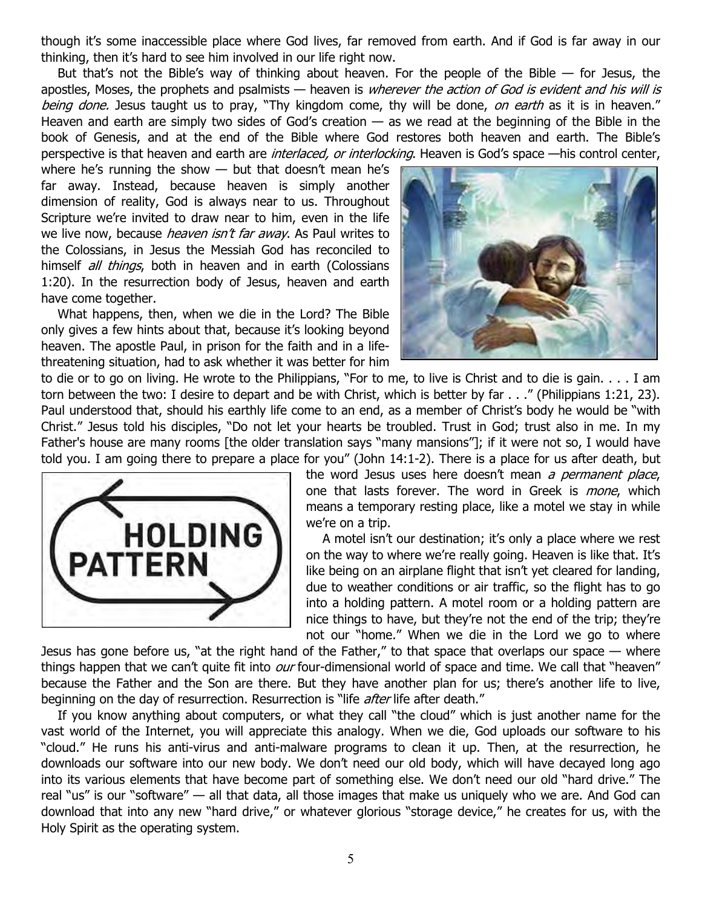though it's some inaccessible place where God lives, far removed from earth. And if God is far away in our thinking, then it's hard to see him involved in our life right now.

But that's not the Bible's way of thinking about heaven. For the people of the Bible — for Jesus, the apostles, Moses, the prophets and psalmists — heaven is wherever the action of God is evident and his will is being done. Jesus taught us to pray, "Thy kingdom come, thy will be done, on earth as it is in heaven." Heaven and earth are simply two sides of God's creation  $-$  as we read at the beginning of the Bible in the book of Genesis, and at the end of the Bible where God restores both heaven and earth. The Bible's perspective is that heaven and earth are *interlaced, or interlocking*. Heaven is God's space —his control center,

where he's running the show  $-$  but that doesn't mean he's far away. Instead, because heaven is simply another dimension of reality, God is always near to us. Throughout Scripture we're invited to draw near to him, even in the life we live now, because *heaven isn't far away*. As Paul writes to the Colossians, in Jesus the Messiah God has reconciled to himself *all things*, both in heaven and in earth (Colossians 1:20). In the resurrection body of Jesus, heaven and earth have come together.

What happens, then, when we die in the Lord? The Bible only gives a few hints about that, because it's looking beyond heaven. The apostle Paul, in prison for the faith and in a lifethreatening situation, had to ask whether it was better for him

to die or to go on living. He wrote to the Philippians, "For to me, to live is Christ and to die is gain. . . . I am torn between the two: I desire to depart and be with Christ, which is better by far . . ." (Philippians 1:21, 23). Paul understood that, should his earthly life come to an end, as a member of Christ's body he would be "with Christ." Jesus told his disciples, "Do not let your hearts be troubled. Trust in God; trust also in me. In my Father's house are many rooms [the older translation says "many mansions"]; if it were not so, I would have told you. I am going there to prepare a place for you" (John 14:1-2). There is a place for us after death, but





the word Jesus uses here doesn't mean a permanent place, one that lasts forever. The word in Greek is *mone*, which means a temporary resting place, like a motel we stay in while we're on a trip.

A motel isn't our destination; it's only a place where we rest on the way to where we're really going. Heaven is like that. It's like being on an airplane flight that isn't yet cleared for landing, due to weather conditions or air traffic, so the flight has to go into a holding pattern. A motel room or a holding pattern are nice things to have, but they're not the end of the trip; they're not our "home." When we die in the Lord we go to where

Jesus has gone before us, "at the right hand of the Father," to that space that overlaps our space  $-$  where things happen that we can't quite fit into our four-dimensional world of space and time. We call that "heaven" because the Father and the Son are there. But they have another plan for us; there's another life to live, beginning on the day of resurrection. Resurrection is "life *after* life after death."

If you know anything about computers, or what they call "the cloud" which is just another name for the vast world of the Internet, you will appreciate this analogy. When we die, God uploads our software to his "cloud." He runs his anti-virus and anti-malware programs to clean it up. Then, at the resurrection, he downloads our software into our new body. We don't need our old body, which will have decayed long ago into its various elements that have become part of something else. We don't need our old "hard drive." The real "us" is our "software" — all that data, all those images that make us uniquely who we are. And God can download that into any new "hard drive," or whatever glorious "storage device," he creates for us, with the Holy Spirit as the operating system.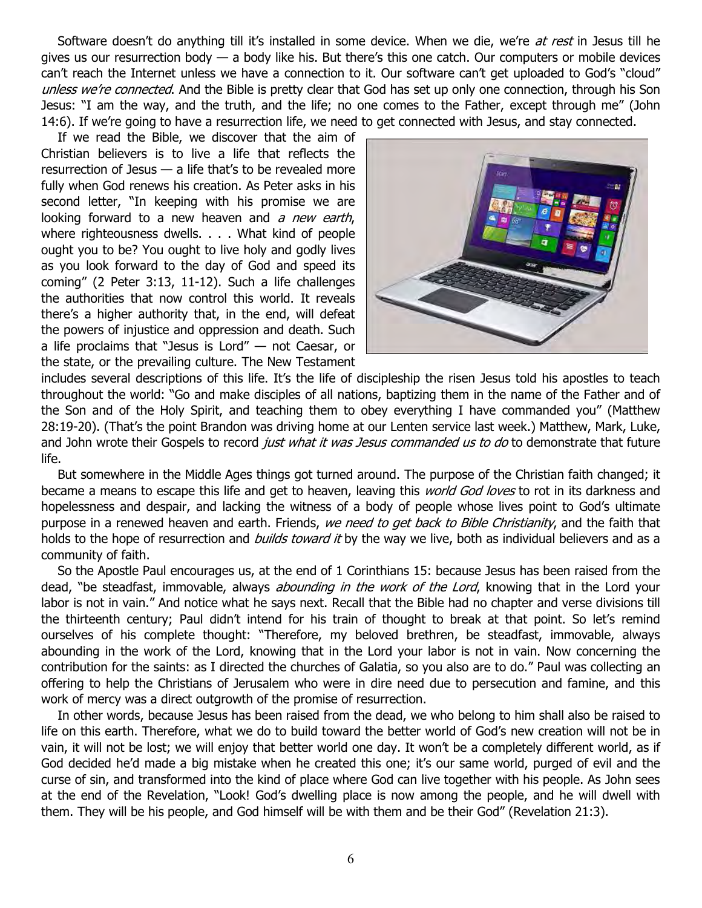Software doesn't do anything till it's installed in some device. When we die, we're at rest in Jesus till he gives us our resurrection body  $-$  a body like his. But there's this one catch. Our computers or mobile devices can't reach the Internet unless we have a connection to it. Our software can't get uploaded to God's "cloud" unless we're connected. And the Bible is pretty clear that God has set up only one connection, through his Son Jesus: "I am the way, and the truth, and the life; no one comes to the Father, except through me" (John 14:6). If we're going to have a resurrection life, we need to get connected with Jesus, and stay connected.

If we read the Bible, we discover that the aim of Christian believers is to live a life that reflects the resurrection of Jesus — a life that's to be revealed more fully when God renews his creation. As Peter asks in his second letter, "In keeping with his promise we are looking forward to a new heaven and a new earth, where righteousness dwells. . . . What kind of people ought you to be? You ought to live holy and godly lives as you look forward to the day of God and speed its coming" (2 Peter 3:13, 11-12). Such a life challenges the authorities that now control this world. It reveals there's a higher authority that, in the end, will defeat the powers of injustice and oppression and death. Such a life proclaims that "Jesus is Lord"  $-$  not Caesar, or the state, or the prevailing culture. The New Testament



includes several descriptions of this life. It's the life of discipleship the risen Jesus told his apostles to teach throughout the world: "Go and make disciples of all nations, baptizing them in the name of the Father and of the Son and of the Holy Spirit, and teaching them to obey everything I have commanded you" (Matthew 28:19-20). (That's the point Brandon was driving home at our Lenten service last week.) Matthew, Mark, Luke, and John wrote their Gospels to record just what it was Jesus commanded us to do to demonstrate that future life.

But somewhere in the Middle Ages things got turned around. The purpose of the Christian faith changed; it became a means to escape this life and get to heaven, leaving this world God loves to rot in its darkness and hopelessness and despair, and lacking the witness of a body of people whose lives point to God's ultimate purpose in a renewed heaven and earth. Friends, we need to get back to Bible Christianity, and the faith that holds to the hope of resurrection and *builds toward it* by the way we live, both as individual believers and as a community of faith.

So the Apostle Paul encourages us, at the end of 1 Corinthians 15: because Jesus has been raised from the dead, "be steadfast, immovable, always *abounding in the work of the Lord*, knowing that in the Lord your labor is not in vain." And notice what he says next. Recall that the Bible had no chapter and verse divisions till the thirteenth century; Paul didn't intend for his train of thought to break at that point. So let's remind ourselves of his complete thought: "Therefore, my beloved brethren, be steadfast, immovable, always abounding in the work of the Lord, knowing that in the Lord your labor is not in vain. Now concerning the contribution for the saints: as I directed the churches of Galatia, so you also are to do." Paul was collecting an offering to help the Christians of Jerusalem who were in dire need due to persecution and famine, and this work of mercy was a direct outgrowth of the promise of resurrection.

In other words, because Jesus has been raised from the dead, we who belong to him shall also be raised to life on this earth. Therefore, what we do to build toward the better world of God's new creation will not be in vain, it will not be lost; we will enjoy that better world one day. It won't be a completely different world, as if God decided he'd made a big mistake when he created this one; it's our same world, purged of evil and the curse of sin, and transformed into the kind of place where God can live together with his people. As John sees at the end of the Revelation, "Look! God's dwelling place is now among the people, and he will dwell with them. They will be his people, and God himself will be with them and be their God" (Revelation 21:3).